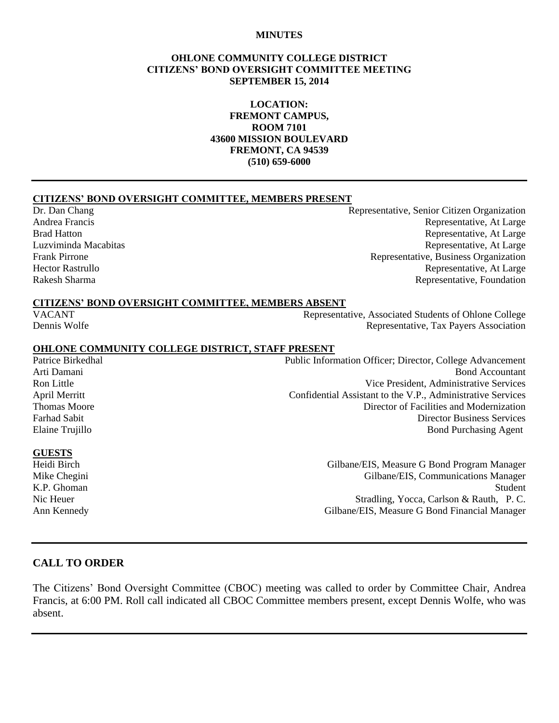#### **MINUTES**

#### **OHLONE COMMUNITY COLLEGE DISTRICT CITIZENS' BOND OVERSIGHT COMMITTEE MEETING SEPTEMBER 15, 2014**

**LOCATION: FREMONT CAMPUS, ROOM 7101 43600 MISSION BOULEVARD FREMONT, CA 94539 (510) 659-6000**

#### **CITIZENS' BOND OVERSIGHT COMMITTEE, MEMBERS PRESENT**

Dr. Dan Chang Representative, Senior Citizen Organization Andrea Francis Representative, At Large Brad Hatton **Representative, At Large** Luzviminda Macabitas Representative, At Large Frank Pirrone **Representative, Business Organization** Representative, Business Organization Hector Rastrullo **Representative, At Large** Rakesh Sharma Representative, Foundation

#### **CITIZENS' BOND OVERSIGHT COMMITTEE, MEMBERS ABSENT**

VACANT Representative, Associated Students of Ohlone College Dennis Wolfe Representative, Tax Payers Association

#### **OHLONE COMMUNITY COLLEGE DISTRICT, STAFF PRESENT**

Patrice Birkedhal Public Information Officer; Director, College Advancement Arti Damani Bond Accountant Ron Little Vice President, Administrative Services April Merritt Confidential Assistant to the V.P., Administrative Services Thomas Moore **Director of Facilities and Modernization** Farhad Sabit Director Business Services Elaine Trujillo Bond Purchasing Agent

#### **GUESTS**

Heidi Birch Gilbane/EIS, Measure G Bond Program Manager Mike Chegini Gilbane/EIS, Communications Manager K.P. Ghoman Student Nic Heuer Stradling, Yocca, Carlson & Rauth, P.C. Ann Kennedy Gilbane/EIS, Measure G Bond Financial Manager

### **CALL TO ORDER**

The Citizens' Bond Oversight Committee (CBOC) meeting was called to order by Committee Chair, Andrea Francis, at 6:00 PM. Roll call indicated all CBOC Committee members present, except Dennis Wolfe, who was absent.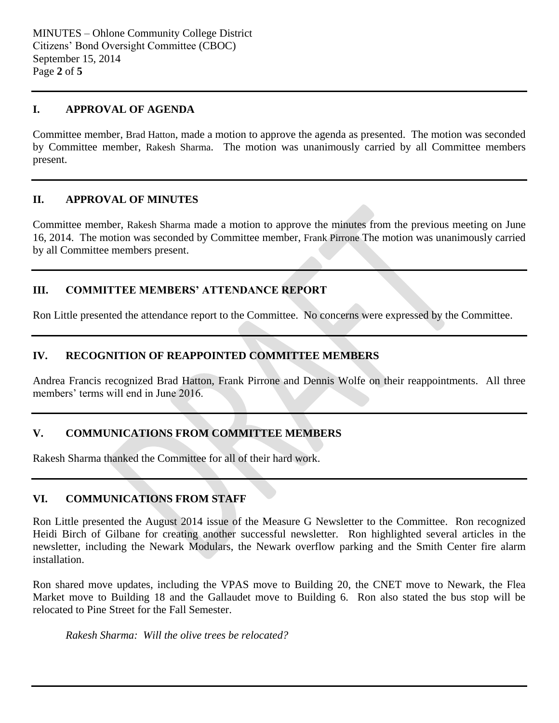### **I. APPROVAL OF AGENDA**

Committee member, Brad Hatton, made a motion to approve the agenda as presented. The motion was seconded by Committee member, Rakesh Sharma. The motion was unanimously carried by all Committee members present.

### **II. APPROVAL OF MINUTES**

Committee member, Rakesh Sharma made a motion to approve the minutes from the previous meeting on June 16, 2014. The motion was seconded by Committee member, Frank Pirrone The motion was unanimously carried by all Committee members present.

# **III. COMMITTEE MEMBERS' ATTENDANCE REPORT**

Ron Little presented the attendance report to the Committee. No concerns were expressed by the Committee.

# **IV. RECOGNITION OF REAPPOINTED COMMITTEE MEMBERS**

Andrea Francis recognized Brad Hatton, Frank Pirrone and Dennis Wolfe on their reappointments. All three members' terms will end in June 2016.

# **V. COMMUNICATIONS FROM COMMITTEE MEMBERS**

Rakesh Sharma thanked the Committee for all of their hard work.

## **VI. COMMUNICATIONS FROM STAFF**

Ron Little presented the August 2014 issue of the Measure G Newsletter to the Committee. Ron recognized Heidi Birch of Gilbane for creating another successful newsletter. Ron highlighted several articles in the newsletter, including the Newark Modulars, the Newark overflow parking and the Smith Center fire alarm installation.

Ron shared move updates, including the VPAS move to Building 20, the CNET move to Newark, the Flea Market move to Building 18 and the Gallaudet move to Building 6. Ron also stated the bus stop will be relocated to Pine Street for the Fall Semester.

*Rakesh Sharma: Will the olive trees be relocated?*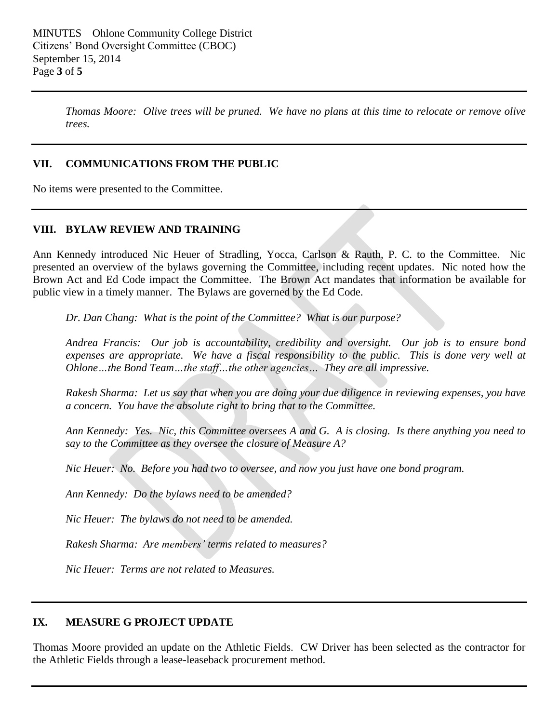*Thomas Moore: Olive trees will be pruned. We have no plans at this time to relocate or remove olive trees.*

### **VII. COMMUNICATIONS FROM THE PUBLIC**

No items were presented to the Committee.

### **VIII. BYLAW REVIEW AND TRAINING**

Ann Kennedy introduced Nic Heuer of Stradling, Yocca, Carlson & Rauth, P. C. to the Committee. Nic presented an overview of the bylaws governing the Committee, including recent updates. Nic noted how the Brown Act and Ed Code impact the Committee. The Brown Act mandates that information be available for public view in a timely manner. The Bylaws are governed by the Ed Code.

*Dr. Dan Chang: What is the point of the Committee? What is our purpose?*

*Andrea Francis: Our job is accountability, credibility and oversight. Our job is to ensure bond expenses are appropriate. We have a fiscal responsibility to the public. This is done very well at Ohlone…the Bond Team…the staff…the other agencies… They are all impressive.* 

*Rakesh Sharma: Let us say that when you are doing your due diligence in reviewing expenses, you have a concern. You have the absolute right to bring that to the Committee.* 

*Ann Kennedy: Yes. Nic, this Committee oversees A and G. A is closing. Is there anything you need to say to the Committee as they oversee the closure of Measure A?*

*Nic Heuer: No. Before you had two to oversee, and now you just have one bond program.*

*Ann Kennedy: Do the bylaws need to be amended?*

*Nic Heuer: The bylaws do not need to be amended.*

*Rakesh Sharma: Are members' terms related to measures?*

*Nic Heuer: Terms are not related to Measures.*

### **IX. MEASURE G PROJECT UPDATE**

Thomas Moore provided an update on the Athletic Fields. CW Driver has been selected as the contractor for the Athletic Fields through a lease-leaseback procurement method.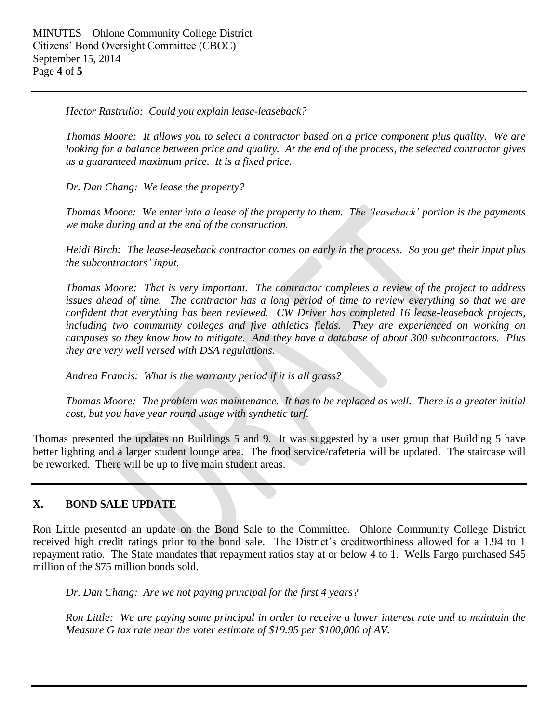*Hector Rastrullo: Could you explain lease-leaseback?*

*Thomas Moore: It allows you to select a contractor based on a price component plus quality. We are looking for a balance between price and quality. At the end of the process, the selected contractor gives us a guaranteed maximum price. It is a fixed price.* 

*Dr. Dan Chang: We lease the property?*

*Thomas Moore: We enter into a lease of the property to them. The 'leaseback' portion is the payments we make during and at the end of the construction.*

*Heidi Birch: The lease-leaseback contractor comes on early in the process. So you get their input plus the subcontractors' input.*

*Thomas Moore: That is very important. The contractor completes a review of the project to address issues ahead of time. The contractor has a long period of time to review everything so that we are confident that everything has been reviewed. CW Driver has completed 16 lease-leaseback projects, including two community colleges and five athletics fields. They are experienced on working on campuses so they know how to mitigate. And they have a database of about 300 subcontractors. Plus they are very well versed with DSA regulations*.

*Andrea Francis: What is the warranty period if it is all grass?*

*Thomas Moore: The problem was maintenance. It has to be replaced as well. There is a greater initial cost, but you have year round usage with synthetic turf.*

Thomas presented the updates on Buildings 5 and 9. It was suggested by a user group that Building 5 have better lighting and a larger student lounge area. The food service/cafeteria will be updated. The staircase will be reworked. There will be up to five main student areas.

# **X. BOND SALE UPDATE**

Ron Little presented an update on the Bond Sale to the Committee. Ohlone Community College District received high credit ratings prior to the bond sale. The District's creditworthiness allowed for a 1.94 to 1 repayment ratio. The State mandates that repayment ratios stay at or below 4 to 1. Wells Fargo purchased \$45 million of the \$75 million bonds sold.

*Dr. Dan Chang: Are we not paying principal for the first 4 years?*

*Ron Little: We are paying some principal in order to receive a lower interest rate and to maintain the Measure G tax rate near the voter estimate of \$19.95 per \$100,000 of AV.*